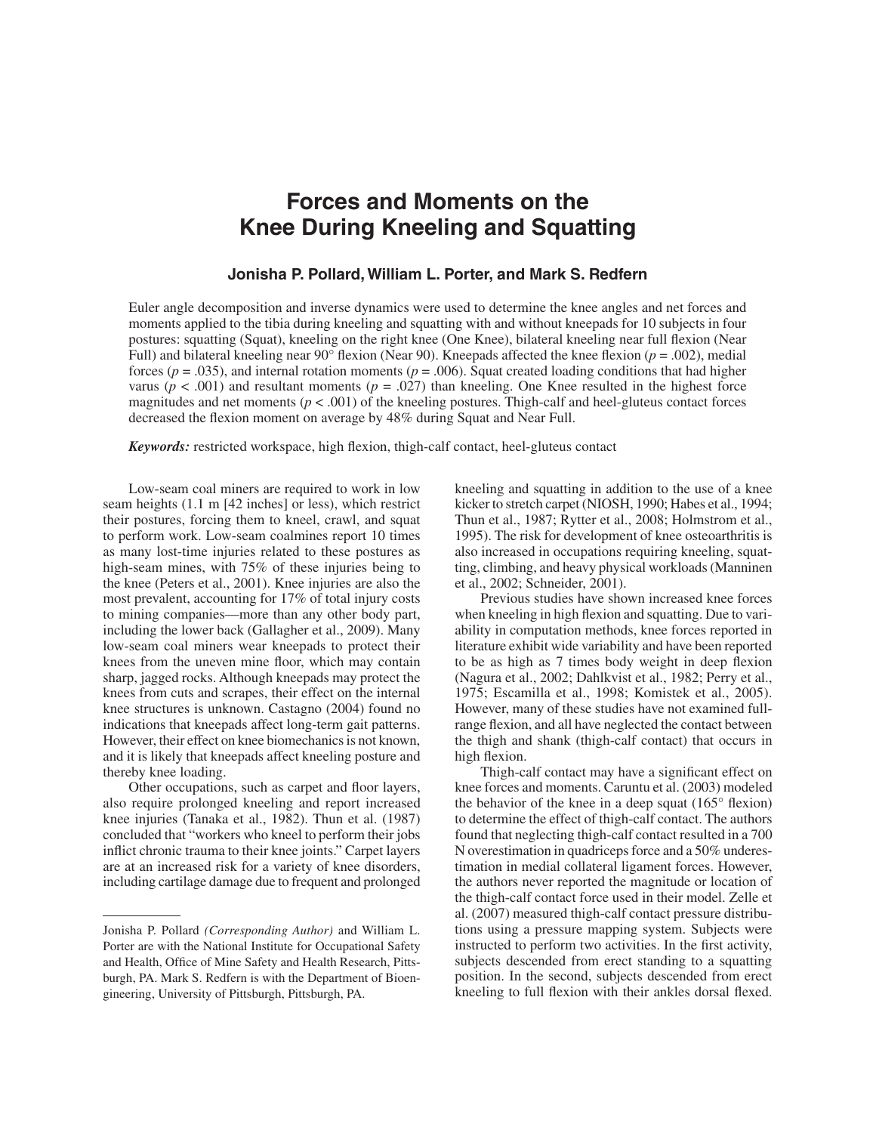# **Forces and Moments on the Knee During Kneeling and Squatting**

#### **Jonisha P. Pollard, William L. Porter, and Mark S. Redfern**

Euler angle decomposition and inverse dynamics were used to determine the knee angles and net forces and moments applied to the tibia during kneeling and squatting with and without kneepads for 10 subjects in four postures: squatting (Squat), kneeling on the right knee (One Knee), bilateral kneeling near full flexion (Near Full) and bilateral kneeling near  $90^{\circ}$  flexion (Near 90). Kneepads affected the knee flexion ( $p = .002$ ), medial forces ( $p = .035$ ), and internal rotation moments ( $p = .006$ ). Squat created loading conditions that had higher varus ( $p < .001$ ) and resultant moments ( $p = .027$ ) than kneeling. One Knee resulted in the highest force magnitudes and net moments ( $p < .001$ ) of the kneeling postures. Thigh-calf and heel-gluteus contact forces decreased the flexion moment on average by 48% during Squat and Near Full.

*Keywords:* restricted workspace, high flexion, thigh-calf contact, heel-gluteus contact

 low-seam coal miners wear kneepads to protect their However, their effect on knee biomechanics is not known, Low-seam coal miners are required to work in low seam heights (1.1 m [42 inches] or less), which restrict their postures, forcing them to kneel, crawl, and squat to perform work. Low-seam coalmines report 10 times as many lost-time injuries related to these postures as high-seam mines, with 75% of these injuries being to the knee (Peters et al., 2001). Knee injuries are also the most prevalent, accounting for 17% of total injury costs to mining companies—more than any other body part, including the lower back (Gallagher et al., 2009). Many knees from the uneven mine floor, which may contain sharp, jagged rocks. Although kneepads may protect the knees from cuts and scrapes, their effect on the internal knee structures is unknown. Castagno (2004) found no indications that kneepads affect long-term gait patterns. and it is likely that kneepads affect kneeling posture and thereby knee loading.

 also require prolonged kneeling and report increased including cartilage damage due to frequent and prolonged Other occupations, such as carpet and floor layers, knee injuries (Tanaka et al., 1982). Thun et al. (1987) concluded that "workers who kneel to perform their jobs inflict chronic trauma to their knee joints." Carpet layers are at an increased risk for a variety of knee disorders,

 kicker to stretch carpet (NIOSH, 1990; Habes et al., 1994; ting, climbing, and heavy physical workloads (Manninen kneeling and squatting in addition to the use of a knee Thun et al., 1987; Rytter et al., 2008; Holmstrom et al., 1995). The risk for development of knee osteoarthritis is also increased in occupations requiring kneeling, squatet al., 2002; Schneider, 2001).

 when kneeling in high flexion and squatting. Due to vari- literature exhibit wide variability and have been reported to be as high as 7 times body weight in deep flexion 1975; Escamilla et al., 1998; Komistek et al., 2005). range flexion, and all have neglected the contact between Previous studies have shown increased knee forces ability in computation methods, knee forces reported in (Nagura et al., 2002; Dahlkvist et al., 1982; Perry et al., However, many of these studies have not examined fullthe thigh and shank (thigh-calf contact) that occurs in high flexion.

 N overestimation in quadriceps force and a 50% underes-Thigh-calf contact may have a significant effect on knee forces and moments. Caruntu et al. (2003) modeled the behavior of the knee in a deep squat  $(165^{\circ}$  flexion) to determine the effect of thigh-calf contact. The authors found that neglecting thigh-calf contact resulted in a 700 timation in medial collateral ligament forces. However, the authors never reported the magnitude or location of the thigh-calf contact force used in their model. Zelle et al. (2007) measured thigh-calf contact pressure distributions using a pressure mapping system. Subjects were instructed to perform two activities. In the first activity, subjects descended from erect standing to a squatting position. In the second, subjects descended from erect kneeling to full flexion with their ankles dorsal flexed.

Jonisha P. Pollard *(Corresponding Author)* and William L. Porter are with the National Institute for Occupational Safety and Health, Office of Mine Safety and Health Research, Pittsburgh, PA. Mark S. Redfern is with the Department of Bioengineering, University of Pittsburgh, Pittsburgh, PA.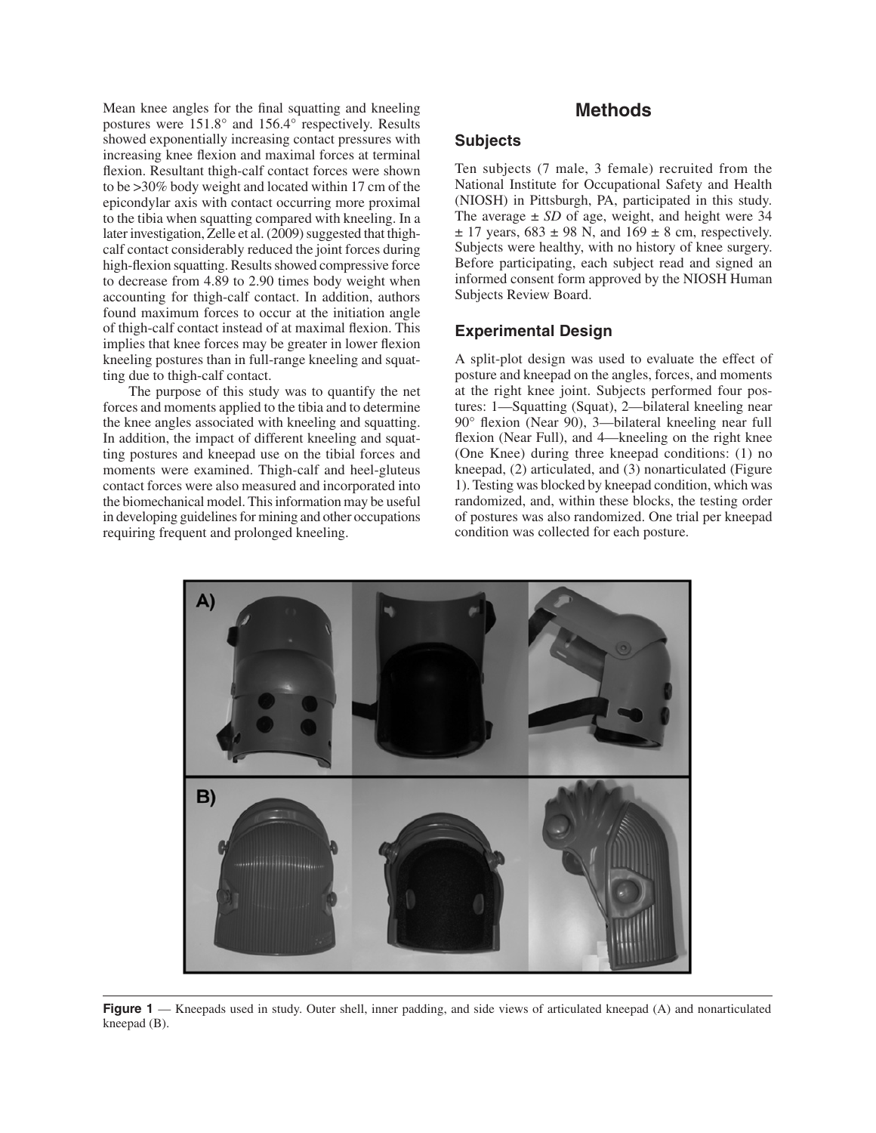later investigation, Zelle et al. (2009) suggested that thigh- high-flexion squatting. Results showed compressive force accounting for thigh-calf contact. In addition, authors Mean knee angles for the final squatting and kneeling postures were 151.8° and 156.4° respectively. Results showed exponentially increasing contact pressures with increasing knee flexion and maximal forces at terminal flexion. Resultant thigh-calf contact forces were shown to be >30% body weight and located within 17 cm of the epicondylar axis with contact occurring more proximal to the tibia when squatting compared with kneeling. In a calf contact considerably reduced the joint forces during to decrease from 4.89 to 2.90 times body weight when found maximum forces to occur at the initiation angle of thigh-calf contact instead of at maximal flexion. This implies that knee forces may be greater in lower flexion kneeling postures than in full-range kneeling and squatting due to thigh-calf contact.

 moments were examined. Thigh-calf and heel-gluteus the biomechanical model. This information may be useful in developing guidelines for mining and other occupations The purpose of this study was to quantify the net forces and moments applied to the tibia and to determine the knee angles associated with kneeling and squatting. In addition, the impact of different kneeling and squatting postures and kneepad use on the tibial forces and contact forces were also measured and incorporated into requiring frequent and prolonged kneeling.

# **Methods**

## **Subjects**

 Ten subjects (7 male, 3 female) recruited from the National Institute for Occupational Safety and Health Before participating, each subject read and signed an (NIOSH) in Pittsburgh, PA, participated in this study. The average  $\pm$  *SD* of age, weight, and height were 34  $\pm$  17 years, 683  $\pm$  98 N, and 169  $\pm$  8 cm, respectively. Subjects were healthy, with no history of knee surgery. informed consent form approved by the NIOSH Human Subjects Review Board.

#### **Experimental Design**

 A split-plot design was used to evaluate the effect of at the right knee joint. Subjects performed four pos- 90° flexion (Near 90), 3—bilateral kneeling near full (One Knee) during three kneepad conditions: (1) no 1). Testing was blocked by kneepad condition, which was posture and kneepad on the angles, forces, and moments tures: 1—Squatting (Squat), 2—bilateral kneeling near flexion (Near Full), and 4—kneeling on the right knee kneepad, (2) articulated, and (3) nonarticulated (Figure randomized, and, within these blocks, the testing order of postures was also randomized. One trial per kneepad condition was collected for each posture.



**Figure 1** — Kneepads used in study. Outer shell, inner padding, and side views of articulated kneepad (A) and nonarticulated kneepad (B).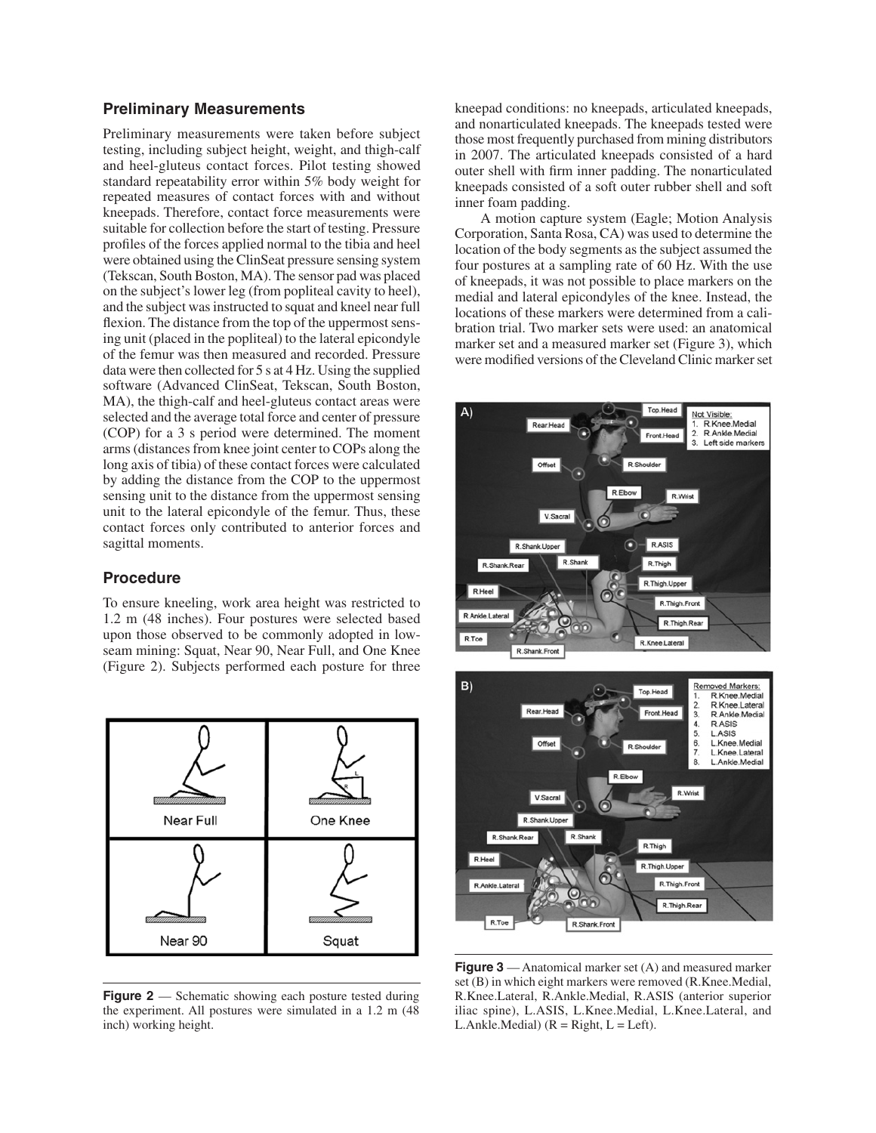## **Preliminary Measurements**

 Preliminary measurements were taken before subject and heel-gluteus contact forces. Pilot testing showed suitable for collection before the start of testing. Pressure were obtained using the ClinSeat pressure sensing system (Tekscan, South Boston, MA). The sensor pad was placed and the subject was instructed to squat and kneel near full flexion. The distance from the top of the uppermost sens- data were then collected for 5 s at 4 Hz. Using the supplied selected and the average total force and center of pressure arms (distances from knee joint center to COPs along the long axis of tibia) of these contact forces were calculated contact forces only contributed to anterior forces and testing, including subject height, weight, and thigh-calf standard repeatability error within 5% body weight for repeated measures of contact forces with and without kneepads. Therefore, contact force measurements were profiles of the forces applied normal to the tibia and heel on the subject's lower leg (from popliteal cavity to heel), ing unit (placed in the popliteal) to the lateral epicondyle of the femur was then measured and recorded. Pressure software (Advanced ClinSeat, Tekscan, South Boston, MA), the thigh-calf and heel-gluteus contact areas were (COP) for a 3 s period were determined. The moment by adding the distance from the COP to the uppermost sensing unit to the distance from the uppermost sensing unit to the lateral epicondyle of the femur. Thus, these sagittal moments.

#### **Procedure**

 1.2 m (48 inches). Four postures were selected based (Figure 2). Subjects performed each posture for three To ensure kneeling, work area height was restricted to upon those observed to be commonly adopted in lowseam mining: Squat, Near 90, Near Full, and One Knee



**Figure 2** — Schematic showing each posture tested during the experiment. All postures were simulated in a 1.2 m (48 inch) working height.

kneepad conditions: no kneepads, articulated kneepads, and nonarticulated kneepads. The kneepads tested were those most frequently purchased from mining distributors in 2007. The articulated kneepads consisted of a hard outer shell with firm inner padding. The nonarticulated kneepads consisted of a soft outer rubber shell and soft inner foam padding.

 location of the body segments as the subject assumed the were modified versions of the Cleveland Clinic marker set A motion capture system (Eagle; Motion Analysis Corporation, Santa Rosa, CA) was used to determine the four postures at a sampling rate of 60 Hz. With the use of kneepads, it was not possible to place markers on the medial and lateral epicondyles of the knee. Instead, the locations of these markers were determined from a calibration trial. Two marker sets were used: an anatomical marker set and a measured marker set (Figure 3), which





 R.Knee.Lateral, R.Ankle.Medial, R.ASIS (anterior superior iliac spine), L.ASIS, L.Knee.Medial, L.Knee.Lateral, and **Figure 3** — Anatomical marker set (A) and measured marker set (B) in which eight markers were removed (R.Knee.Medial, L.Ankle.Medial)  $(R = Right, L = Left)$ .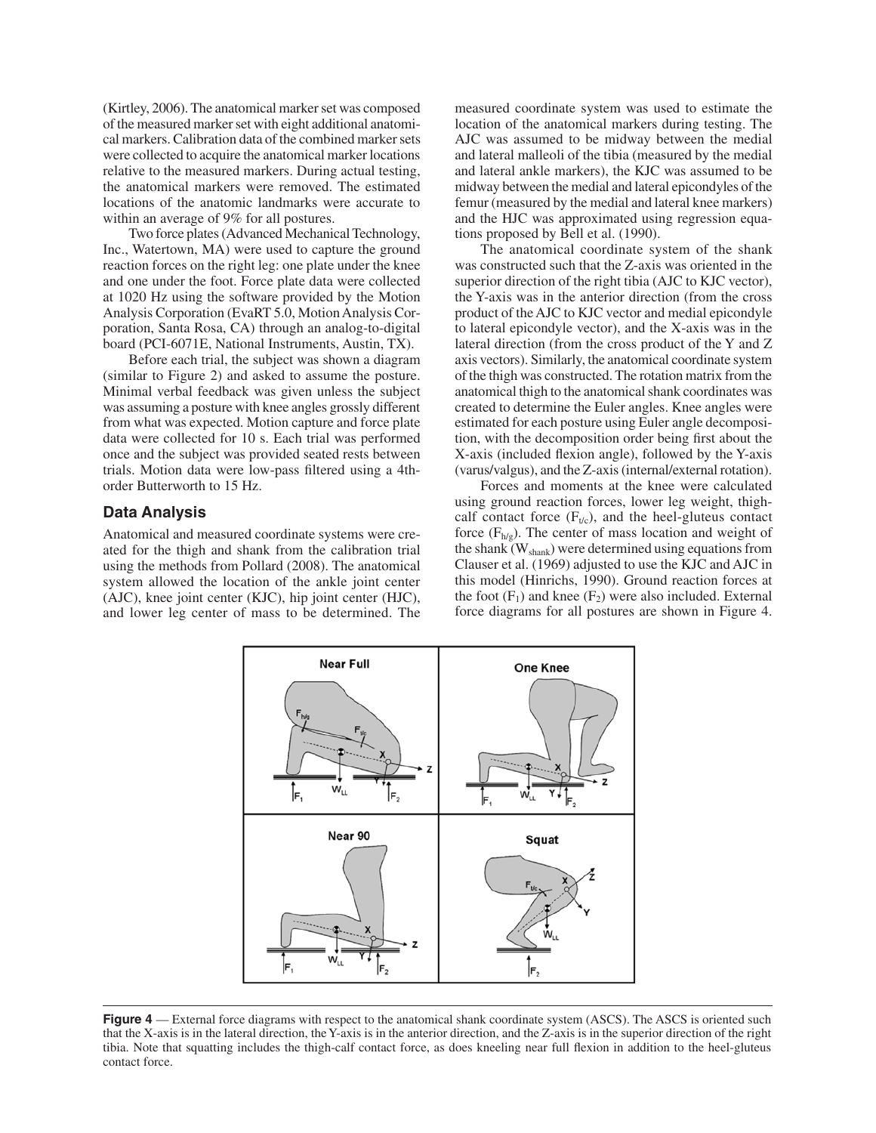(Kirtley, 2006). The anatomical marker set was composed of the measured marker set with eight additional anatomi- cal markers. Calibration data of the combined marker sets were collected to acquire the anatomical marker locations the anatomical markers were removed. The estimated relative to the measured markers. During actual testing, locations of the anatomic landmarks were accurate to within an average of 9% for all postures.

 Two force plates (Advanced Mechanical Technology, Analysis Corporation (EvaRT 5.0, Motion Analysis Cor-Inc., Watertown, MA) were used to capture the ground reaction forces on the right leg: one plate under the knee and one under the foot. Force plate data were collected at 1020 Hz using the software provided by the Motion poration, Santa Rosa, CA) through an analog-to-digital board (PCI-6071E, National Instruments, Austin, TX).

 was assuming a posture with knee angles grossly different Before each trial, the subject was shown a diagram (similar to Figure 2) and asked to assume the posture. Minimal verbal feedback was given unless the subject from what was expected. Motion capture and force plate data were collected for 10 s. Each trial was performed once and the subject was provided seated rests between trials. Motion data were low-pass filtered using a 4thorder Butterworth to 15 Hz.

#### **Data Analysis**

 system allowed the location of the ankle joint center and lower leg center of mass to be determined. The Anatomical and measured coordinate systems were created for the thigh and shank from the calibration trial using the methods from Pollard (2008). The anatomical (AJC), knee joint center (KJC), hip joint center (HJC),

measured coordinate system was used to estimate the location of the anatomical markers during testing. The AJC was assumed to be midway between the medial and lateral malleoli of the tibia (measured by the medial and lateral ankle markers), the KJC was assumed to be midway between the medial and lateral epicondyles of the femur (measured by the medial and lateral knee markers) and the HJC was approximated using regression equations proposed by Bell et al. (1990).

The anatomical coordinate system of the shank was constructed such that the Z-axis was oriented in the superior direction of the right tibia (AJC to KJC vector), the Y-axis was in the anterior direction (from the cross product of the AJC to KJC vector and medial epicondyle to lateral epicondyle vector), and the X-axis was in the lateral direction (from the cross product of the Y and Z axis vectors). Similarly, the anatomical coordinate system of the thigh was constructed. The rotation matrix from the anatomical thigh to the anatomical shank coordinates was created to determine the Euler angles. Knee angles were estimated for each posture using Euler angle decomposition, with the decomposition order being first about the X-axis (included flexion angle), followed by the Y-axis (varus/valgus), and the Z-axis (internal/external rotation).

Forces and moments at the knee were calculated using ground reaction forces, lower leg weight, thighcalf contact force  $(F_{t/c})$ , and the heel-gluteus contact force  $(F_{h/g})$ . The center of mass location and weight of the shank (W<sub>shank</sub>) were determined using equations from Clauser et al. (1969) adjusted to use the KJC and AJC in this model (Hinrichs, 1990). Ground reaction forces at the foot  $(F_1)$  and knee  $(F_2)$  were also included. External force diagrams for all postures are shown in Figure 4.



**Figure 4** — External force diagrams with respect to the anatomical shank coordinate system (ASCS). The ASCS is oriented such that the X-axis is in the lateral direction, the Y-axis is in the anterior direction, and the Z-axis is in the superior direction of the right tibia. Note that squatting includes the thigh-calf contact force, as does kneeling near full flexion in addition to the heel-gluteus contact force.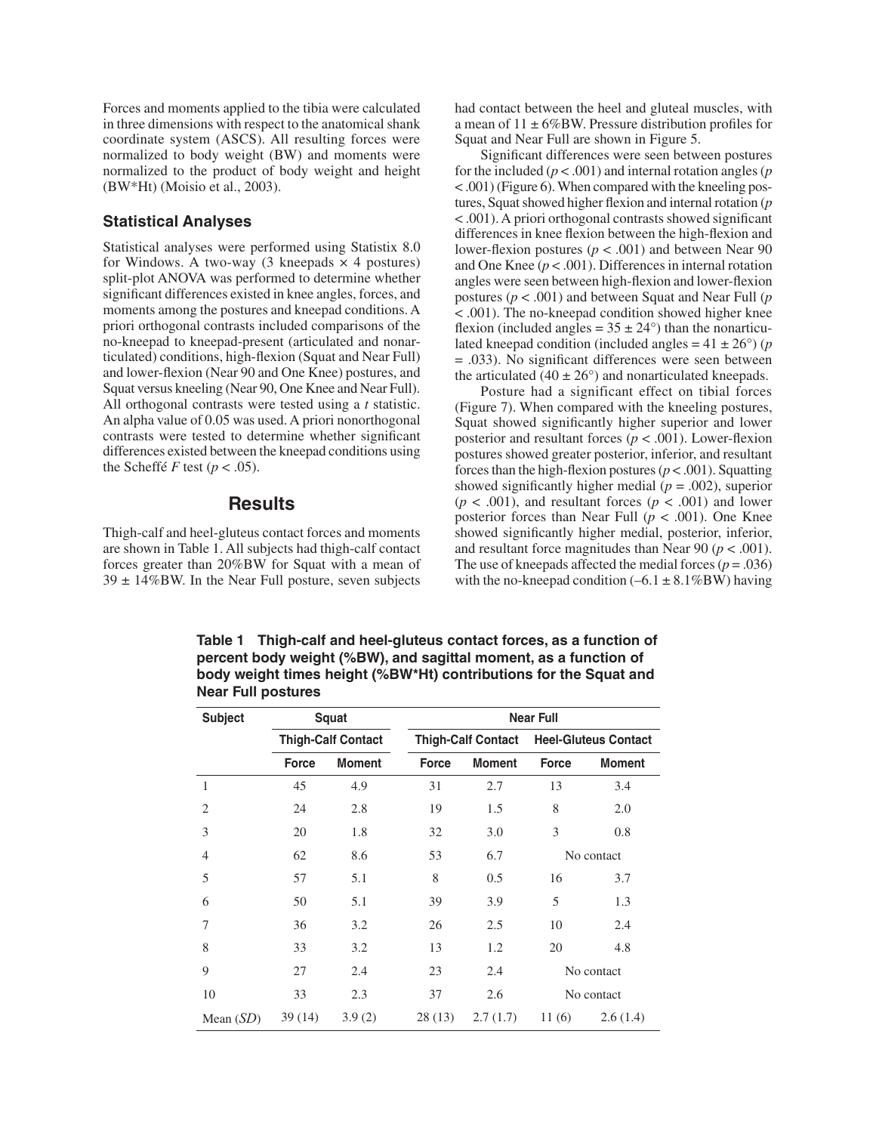coordinate system (ASCS). All resulting forces were normalized to body weight (BW) and moments were normalized to the product of body weight and height Forces and moments applied to the tibia were calculated in three dimensions with respect to the anatomical shank (BW\*Ht) (Moisio et al., 2003).

### **Statistical Analyses**

for Windows. A two-way  $(3 \text{ kneepads} \times 4 \text{ postures})$  significant differences existed in knee angles, forces, and Squat versus kneeling (Near 90, One Knee and Near Full). differences existed between the kneepad conditions using Statistical analyses were performed using Statistix 8.0 split-plot ANOVA was performed to determine whether moments among the postures and kneepad conditions. A priori orthogonal contrasts included comparisons of the no-kneepad to kneepad-present (articulated and nonarticulated) conditions, high-flexion (Squat and Near Full) and lower-flexion (Near 90 and One Knee) postures, and All orthogonal contrasts were tested using a *t* statistic. An alpha value of 0.05 was used. A priori nonorthogonal contrasts were tested to determine whether significant the Scheffe *F* test ( $p < .05$ ).

# **Results**

Thigh-calf and heel-gluteus contact forces and moments are shown in Table 1. All subjects had thigh-calf contact forces greater than 20%BW for Squat with a mean of  $39 \pm 14\%$ BW. In the Near Full posture, seven subjects

had contact between the heel and gluteal muscles, with a mean of  $11 \pm 6\%$ BW. Pressure distribution profiles for Squat and Near Full are shown in Figure 5.

 < .001) (Figure 6). When compared with the kneeling pos- tures, Squat showed higher flexion and internal rotation (*p*  angles were seen between high-flexion and lower-flexion Significant differences were seen between postures for the included (*p* < .001) and internal rotation angles (*p*  < .001). A priori orthogonal contrasts showed significant differences in knee flexion between the high-flexion and lower-flexion postures ( $p < .001$ ) and between Near 90 and One Knee (*p* < .001). Differences in internal rotation postures (*p* < .001) and between Squat and Near Full (*p*  < .001). The no-kneepad condition showed higher knee flexion (included angles =  $35 \pm 24^{\circ}$ ) than the nonarticulated kneepad condition (included angles  $= 41 \pm 26^{\circ}$ ) (*p* = .033). No significant differences were seen between the articulated (40  $\pm$  26 $^{\circ}$ ) and nonarticulated kneepads.

 Posture had a significant effect on tibial forces Squat showed significantly higher superior and lower forces than the high-flexion postures  $(p < .001)$ . Squatting  $(p < .001)$ , and resultant forces  $(p < .001)$  and lower posterior forces than Near Full  $(p < .001)$ . One Knee The use of kneepads affected the medial forces  $(p = .036)$ (Figure 7). When compared with the kneeling postures, posterior and resultant forces (*p* < .001). Lower-flexion postures showed greater posterior, inferior, and resultant showed significantly higher medial  $(p = .002)$ , superior showed significantly higher medial, posterior, inferior, and resultant force magnitudes than Near  $90 (p < .001)$ . with the no-kneepad condition  $(-6.1 \pm 8.1\%BW)$  having

**Table 1 Thigh-calf and heel-gluteus contact forces, as a function of percent body weight (%BW), and sagittal moment, as a function of body weight times height (%BW\*Ht) contributions for the Squat and Near Full postures** 

| <b>Subject</b> | <b>Squat</b><br><b>Thigh-Calf Contact</b> |               | <b>Near Full</b>          |               |                             |               |
|----------------|-------------------------------------------|---------------|---------------------------|---------------|-----------------------------|---------------|
|                |                                           |               | <b>Thigh-Calf Contact</b> |               | <b>Heel-Gluteus Contact</b> |               |
|                | Force                                     | <b>Moment</b> | <b>Force</b>              | <b>Moment</b> | <b>Force</b>                | <b>Moment</b> |
| $\mathbf{1}$   | 45                                        | 4.9           | 31                        | 2.7           | 13                          | 3.4           |
| $\overline{2}$ | 24                                        | 2.8           | 19                        | 1.5           | 8                           | 2.0           |
| 3              | 20                                        | 1.8           | 32                        | 3.0           | 3                           | 0.8           |
| $\overline{4}$ | 62                                        | 8.6           | 53                        | 6.7           | No contact                  |               |
| 5              | 57                                        | 5.1           | 8                         | 0.5           | 16                          | 3.7           |
| 6              | 50                                        | 5.1           | 39                        | 3.9           | 5                           | 1.3           |
| 7              | 36                                        | 3.2           | 26                        | 2.5           | 10                          | 2.4           |
| 8              | 33                                        | 3.2           | 13                        | 1.2           | 20                          | 4.8           |
| 9              | 27                                        | 2.4           | 23                        | 2.4           | No contact                  |               |
| 10             | 33                                        | 2.3           | 37                        | 2.6           | No contact                  |               |
| Mean $(SD)$    | 39(14)                                    | 3.9(2)        | 28(13)                    | 2.7(1.7)      | 11(6)                       | 2.6(1.4)      |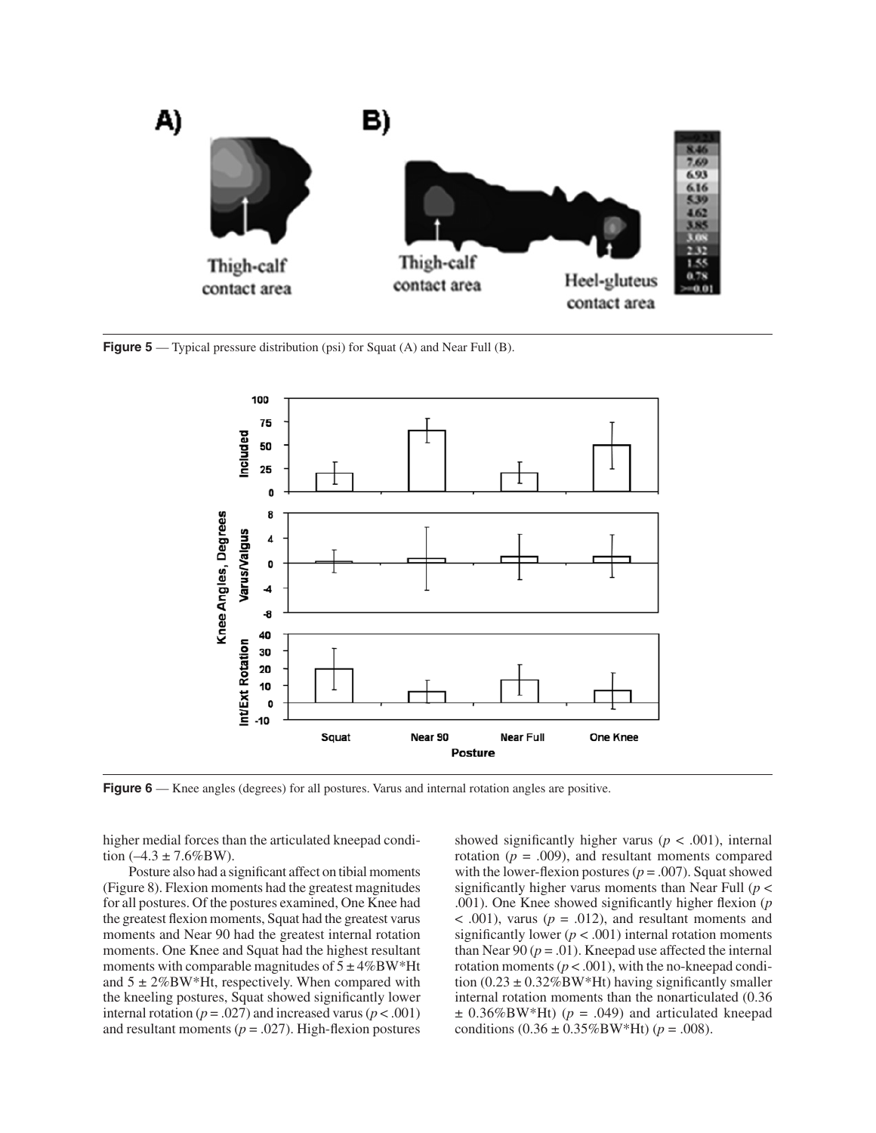

**Figure 5** — Typical pressure distribution (psi) for Squat (A) and Near Full (B).



**Figure 6** — Knee angles (degrees) for all postures. Varus and internal rotation angles are positive.

higher medial forces than the articulated kneepad condition  $(-4.3 \pm 7.6\%$ BW).

 Posture also had a significant affect on tibial moments (Figure 8). Flexion moments had the greatest magnitudes for all postures. Of the postures examined, One Knee had the greatest flexion moments, Squat had the greatest varus moments with comparable magnitudes of  $5 \pm 4\%$ BW\*Ht internal rotation ( $p = .027$ ) and increased varus ( $p < .001$ ) moments and Near 90 had the greatest internal rotation moments. One Knee and Squat had the highest resultant and  $5 \pm 2\%$ BW\*Ht, respectively. When compared with the kneeling postures, Squat showed significantly lower and resultant moments  $(p = .027)$ . High-flexion postures

showed significantly higher varus ( $p < .001$ ), internal rotation  $(p = .009)$ , and resultant moments compared  $<$  .001), varus ( $p = .012$ ), and resultant moments and rotation moments ( $p < .001$ ), with the no-kneepad condi- $\pm$  0.36%BW\*Ht) ( $p = .049$ ) and articulated kneepad with the lower-flexion postures ( $p = .007$ ). Squat showed significantly higher varus moments than Near Full (*p* < .001). One Knee showed significantly higher flexion (*p*  significantly lower  $(p < .001)$  internal rotation moments than Near 90  $(p = .01)$ . Kneepad use affected the internal tion  $(0.23 \pm 0.32\%$ BW\*Ht) having significantly smaller internal rotation moments than the nonarticulated (0.36 conditions  $(0.36 \pm 0.35\%$ BW\*Ht) ( $p = .008$ ).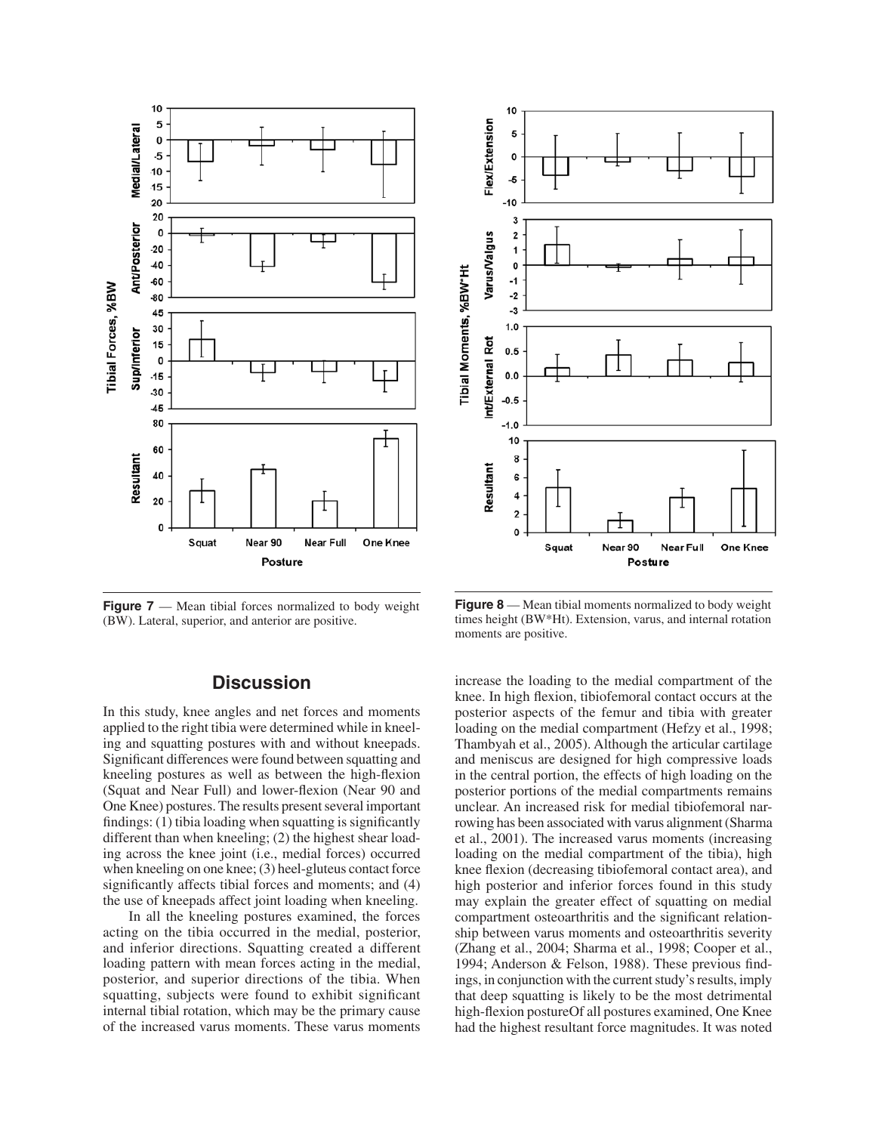

10 Flex/Extension 5  $\mathbf 0$ 5  $-10$ 3 Varus/Valgus  $\overline{\mathbf{2}}$ 1  $\pmb{\mathsf{o}}$ Tibial Moments, %BW\*Ht  $-1$  $-2$  $-3$  $1.0$ Int/External Rot  $0.5$  $0.0$  $-0.5$  $-1.0$ 10 8 Resultant 6 4  $\overline{\mathbf{c}}$  $\Omega$ One Knee Squat Near<sub>90</sub> Near Ful Posture

**Figure 7** — Mean tibial forces normalized to body weight (BW). Lateral, superior, and anterior are positive.

# **Discussion**

 applied to the right tibia were determined while in kneel- Significant differences were found between squatting and One Knee) postures. The results present several important when kneeling on one knee; (3) heel-gluteus contact force In this study, knee angles and net forces and moments ing and squatting postures with and without kneepads. kneeling postures as well as between the high-flexion (Squat and Near Full) and lower-flexion (Near 90 and findings: (1) tibia loading when squatting is significantly different than when kneeling; (2) the highest shear loading across the knee joint (i.e., medial forces) occurred significantly affects tibial forces and moments; and (4) the use of kneepads affect joint loading when kneeling.

 In all the kneeling postures examined, the forces acting on the tibia occurred in the medial, posterior, and inferior directions. Squatting created a different posterior, and superior directions of the tibia. When squatting, subjects were found to exhibit significant loading pattern with mean forces acting in the medial, internal tibial rotation, which may be the primary cause of the increased varus moments. These varus moments

**Figure 8** — Mean tibial moments normalized to body weight times height (BW\*Ht). Extension, varus, and internal rotation moments are positive.

 posterior aspects of the femur and tibia with greater rowing has been associated with varus alignment (Sharma high posterior and inferior forces found in this study may explain the greater effect of squatting on medial ings, in conjunction with the current study's results, imply high-flexion postureOf all postures examined, One Knee increase the loading to the medial compartment of the knee. In high flexion, tibiofemoral contact occurs at the loading on the medial compartment (Hefzy et al., 1998; Thambyah et al., 2005). Although the articular cartilage and meniscus are designed for high compressive loads in the central portion, the effects of high loading on the posterior portions of the medial compartments remains unclear. An increased risk for medial tibiofemoral naret al., 2001). The increased varus moments (increasing loading on the medial compartment of the tibia), high knee flexion (decreasing tibiofemoral contact area), and compartment osteoarthritis and the significant relationship between varus moments and osteoarthritis severity (Zhang et al., 2004; Sharma et al., 1998; Cooper et al., 1994; Anderson & Felson, 1988). These previous findthat deep squatting is likely to be the most detrimental had the highest resultant force magnitudes. It was noted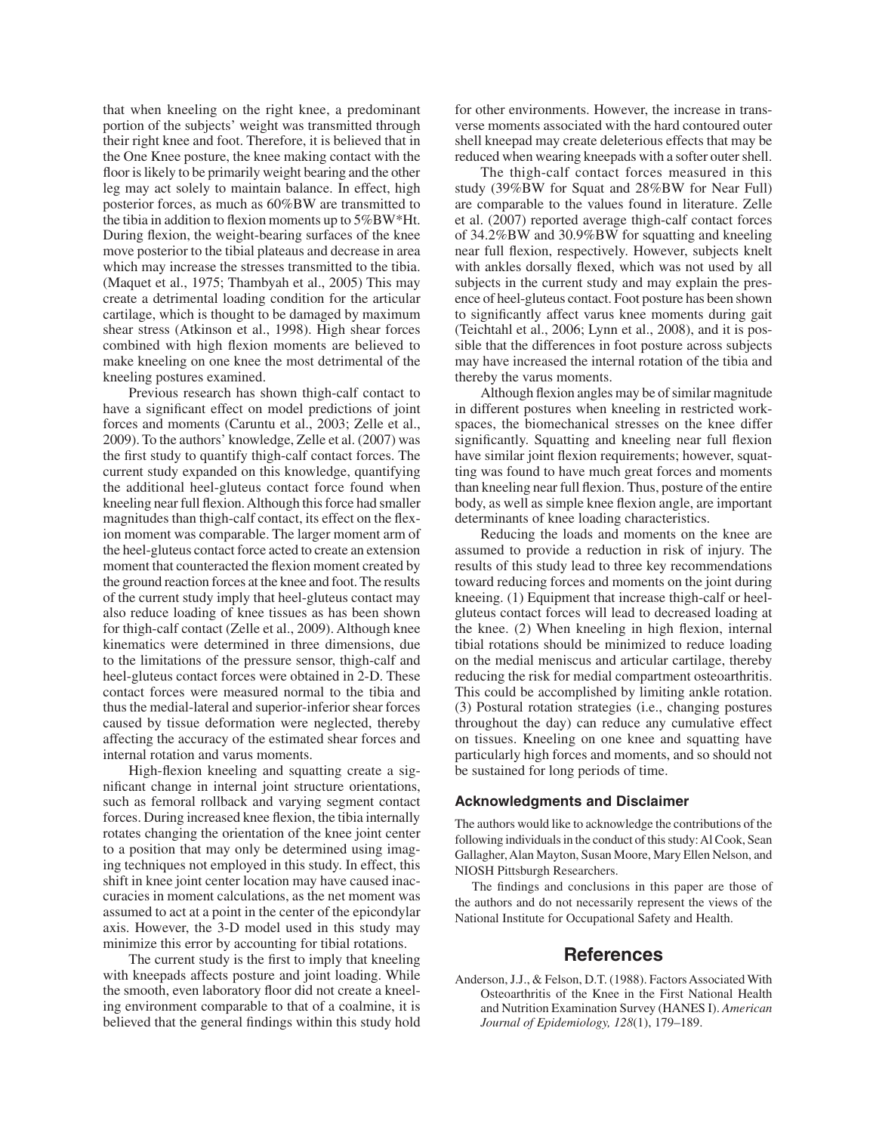that when kneeling on the right knee, a predominant floor is likely to be primarily weight bearing and the other the tibia in addition to flexion moments up to 5%BW\*Ht. combined with high flexion moments are believed to portion of the subjects' weight was transmitted through their right knee and foot. Therefore, it is believed that in the One Knee posture, the knee making contact with the leg may act solely to maintain balance. In effect, high posterior forces, as much as 60%BW are transmitted to During flexion, the weight-bearing surfaces of the knee move posterior to the tibial plateaus and decrease in area which may increase the stresses transmitted to the tibia. (Maquet et al., 1975; Thambyah et al., 2005) This may create a detrimental loading condition for the articular cartilage, which is thought to be damaged by maximum shear stress (Atkinson et al., 1998). High shear forces make kneeling on one knee the most detrimental of the kneeling postures examined.

 2009). To the authors' knowledge, Zelle et al. (2007) was the additional heel-gluteus contact force found when kneeling near full flexion.Although this force had smaller the heel-gluteus contact force acted to create an extension moment that counteracted the flexion moment created by the ground reaction forces at the knee and foot. The results kinematics were determined in three dimensions, due contact forces were measured normal to the tibia and caused by tissue deformation were neglected, thereby Previous research has shown thigh-calf contact to have a significant effect on model predictions of joint forces and moments (Caruntu et al., 2003; Zelle et al., the first study to quantify thigh-calf contact forces. The current study expanded on this knowledge, quantifying magnitudes than thigh-calf contact, its effect on the flexion moment was comparable. The larger moment arm of of the current study imply that heel-gluteus contact may also reduce loading of knee tissues as has been shown for thigh-calf contact (Zelle et al., 2009). Although knee to the limitations of the pressure sensor, thigh-calf and heel-gluteus contact forces were obtained in 2-D. These thus the medial-lateral and superior-inferior shear forces affecting the accuracy of the estimated shear forces and internal rotation and varus moments.

 High-flexion kneeling and squatting create a sig- forces. During increased knee flexion, the tibia internally nificant change in internal joint structure orientations, such as femoral rollback and varying segment contact rotates changing the orientation of the knee joint center to a position that may only be determined using imaging techniques not employed in this study. In effect, this shift in knee joint center location may have caused inaccuracies in moment calculations, as the net moment was assumed to act at a point in the center of the epicondylar axis. However, the 3-D model used in this study may minimize this error by accounting for tibial rotations.

The current study is the first to imply that kneeling with kneepads affects posture and joint loading. While the smooth, even laboratory floor did not create a kneeling environment comparable to that of a coalmine, it is believed that the general findings within this study hold

 reduced when wearing kneepads with a softer outer shell. for other environments. However, the increase in transverse moments associated with the hard contoured outer shell kneepad may create deleterious effects that may be

 The thigh-calf contact forces measured in this ence of heel-gluteus contact. Foot posture has been shown study (39%BW for Squat and 28%BW for Near Full) are comparable to the values found in literature. Zelle et al. (2007) reported average thigh-calf contact forces of 34.2%BW and 30.9%BW for squatting and kneeling near full flexion, respectively. However, subjects knelt with ankles dorsally flexed, which was not used by all subjects in the current study and may explain the presto significantly affect varus knee moments during gait (Teichtahl et al., 2006; Lynn et al., 2008), and it is possible that the differences in foot posture across subjects may have increased the internal rotation of the tibia and thereby the varus moments.

 Although flexion angles may be of similar magnitude spaces, the biomechanical stresses on the knee differ significantly. Squatting and kneeling near full flexion than kneeling near full flexion. Thus, posture of the entire in different postures when kneeling in restricted workhave similar joint flexion requirements; however, squatting was found to have much great forces and moments body, as well as simple knee flexion angle, are important determinants of knee loading characteristics.

 assumed to provide a reduction in risk of injury. The the knee. (2) When kneeling in high flexion, internal throughout the day) can reduce any cumulative effect on tissues. Kneeling on one knee and squatting have Reducing the loads and moments on the knee are results of this study lead to three key recommendations toward reducing forces and moments on the joint during kneeing. (1) Equipment that increase thigh-calf or heelgluteus contact forces will lead to decreased loading at tibial rotations should be minimized to reduce loading on the medial meniscus and articular cartilage, thereby reducing the risk for medial compartment osteoarthritis. This could be accomplished by limiting ankle rotation. (3) Postural rotation strategies (i.e., changing postures particularly high forces and moments, and so should not be sustained for long periods of time.

#### **Acknowledgments and Disclaimer**

 The authors would like to acknowledge the contributions of the following individuals in the conduct of this study: Al Cook, Sean Gallagher, Alan Mayton, Susan Moore, Mary Ellen Nelson, and NIOSH Pittsburgh Researchers.

 The findings and conclusions in this paper are those of the authors and do not necessarily represent the views of the National Institute for Occupational Safety and Health.

## **References**

 Anderson, J.J., & Felson, D.T. (1988). Factors Associated With Osteoarthritis of the Knee in the First National Health and Nutrition Examination Survey (HANES I). *American Journal of Epidemiology, 128*(1), 179–189.